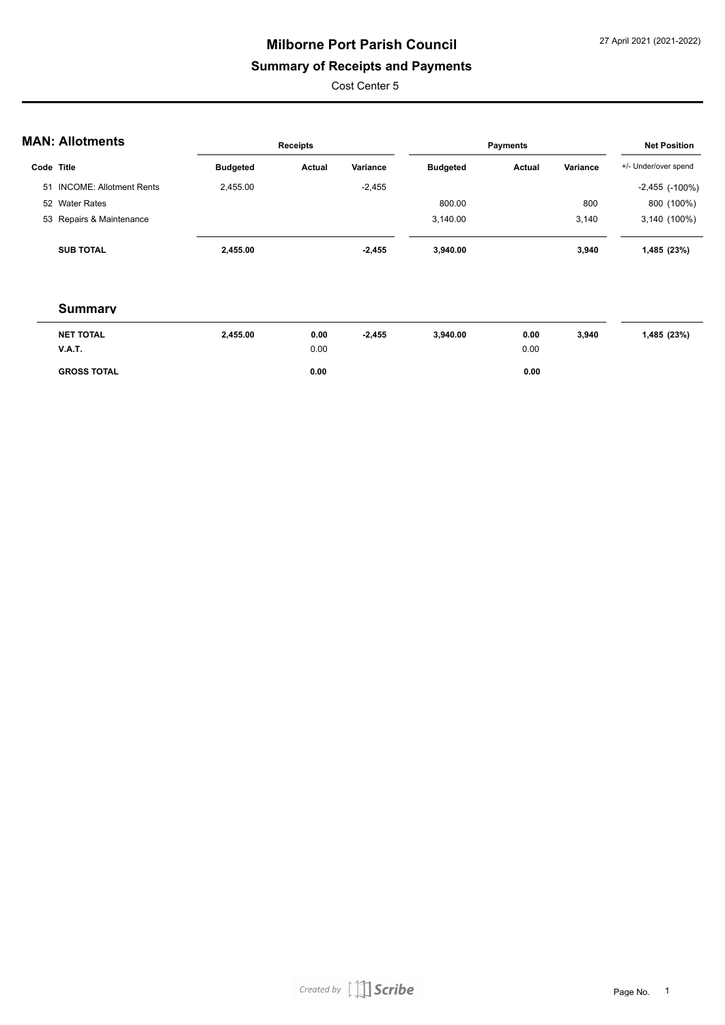### **Summary of Receipts and Payments**

Cost Center 5

|  |  | <b>MAN: Allotments</b> |
|--|--|------------------------|
|--|--|------------------------|

| AN. AIIUUIIEIILS           |                 | <b>Receipts</b> |          |                 | Payments      |          | <b>Net Position</b>   |
|----------------------------|-----------------|-----------------|----------|-----------------|---------------|----------|-----------------------|
| Code Title                 | <b>Budgeted</b> | Actual          | Variance | <b>Budgeted</b> | <b>Actual</b> | Variance | +/- Under/over spend  |
| 51 INCOME: Allotment Rents | 2.455.00        |                 | $-2,455$ |                 |               |          | $-2,455$ ( $-100\%$ ) |
| 52 Water Rates             |                 |                 |          | 800.00          |               | 800      | 800 (100%)            |
| 53 Repairs & Maintenance   |                 |                 |          | 3.140.00        |               | 3.140    | 3,140 (100%)          |
| <b>SUB TOTAL</b>           | 2,455.00        |                 | $-2.455$ | 3,940.00        |               | 3,940    | 1,485 (23%)           |

| <b>NET TOTAL</b>   | 2,455.00 | 0.00 | $-2,455$ | 3.940.00 | 0.00 | 3,940 | 1,485 (23%) |
|--------------------|----------|------|----------|----------|------|-------|-------------|
| <b>V.A.T.</b>      |          | 0.00 |          |          | 0.00 |       |             |
| <b>GROSS TOTAL</b> |          | 0.00 |          |          | 0.00 |       |             |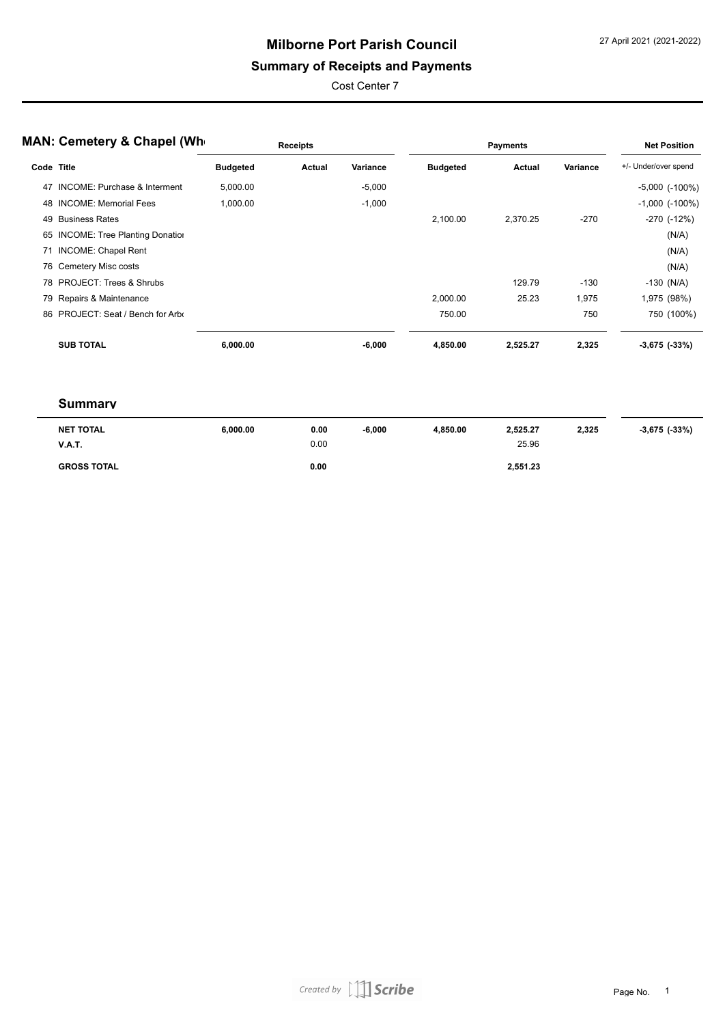### **Summary of Receipts and Payments**

Cost Center 7

|            | <b>MAN: Cemetery &amp; Chapel (Whe</b>  |                 | <b>Receipts</b> |          |                 | <b>Payments</b> |          | <b>Net Position</b>  |
|------------|-----------------------------------------|-----------------|-----------------|----------|-----------------|-----------------|----------|----------------------|
| Code Title |                                         | <b>Budgeted</b> | Actual          | Variance | <b>Budgeted</b> | Actual          | Variance | +/- Under/over spend |
| 47         | <b>INCOME: Purchase &amp; Interment</b> | 5,000.00        |                 | $-5,000$ |                 |                 |          | $-5,000$ $(-100\%)$  |
|            | 48 INCOME: Memorial Fees                | 1,000.00        |                 | $-1,000$ |                 |                 |          | $-1,000$ $(-100\%)$  |
|            | 49 Business Rates                       |                 |                 |          | 2,100.00        | 2,370.25        | $-270$   | $-270$ $(-12%)$      |
|            | 65 INCOME: Tree Planting Donation       |                 |                 |          |                 |                 |          | (N/A)                |
|            | 71 INCOME: Chapel Rent                  |                 |                 |          |                 |                 |          | (N/A)                |
|            | 76 Cemetery Misc costs                  |                 |                 |          |                 |                 |          | (N/A)                |
|            | 78 PROJECT: Trees & Shrubs              |                 |                 |          |                 | 129.79          | $-130$   | $-130$ (N/A)         |
|            | 79 Repairs & Maintenance                |                 |                 |          | 2,000.00        | 25.23           | 1,975    | 1,975 (98%)          |
|            | 86 PROJECT: Seat / Bench for Arbo       |                 |                 |          | 750.00          |                 | 750      | 750 (100%)           |
|            | <b>SUB TOTAL</b>                        | 6,000.00        |                 | $-6,000$ | 4,850.00        | 2,525.27        | 2,325    | $-3,675$ $(-33%)$    |
|            |                                         |                 |                 |          |                 |                 |          |                      |
|            |                                         |                 |                 |          |                 |                 |          |                      |

| <b>NET TOTAL</b><br><b>V.A.T.</b> | 6,000.00 | 0.00<br>0.00 | $-6,000$ | 4.850.00 | 2,525.27<br>25.96 | 2,325 | $-3,675$ ( $-33\%$ ) |
|-----------------------------------|----------|--------------|----------|----------|-------------------|-------|----------------------|
| <b>GROSS TOTAL</b>                |          | 0.00         |          |          | 2,551.23          |       |                      |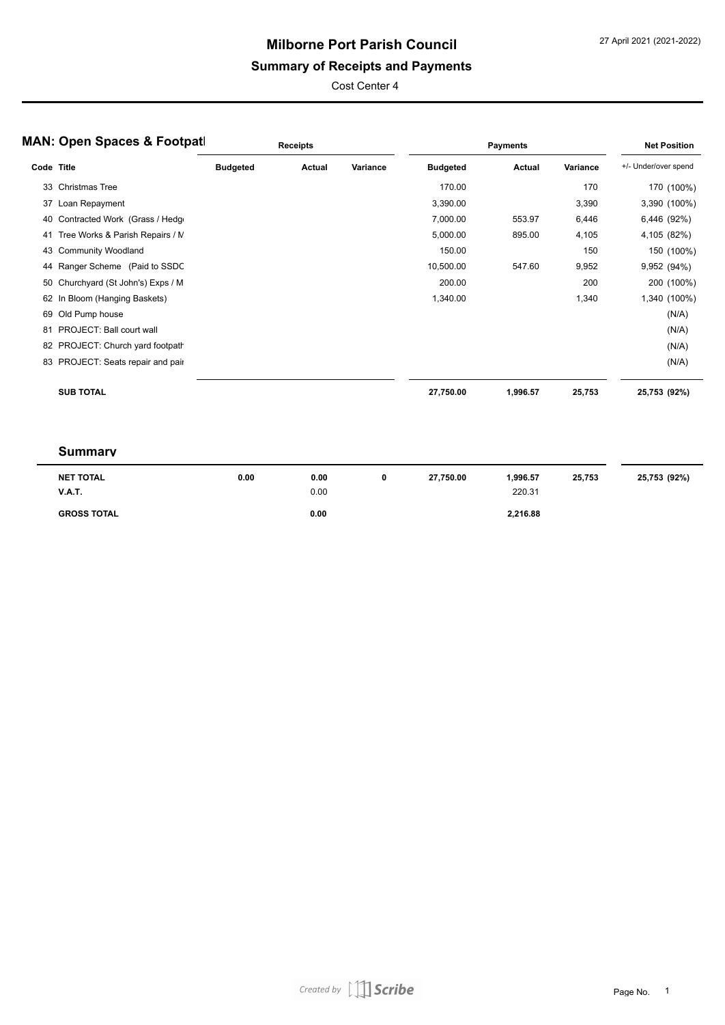### **Summary of Receipts and Payments**

Cost Center 4

|            | <b>MAN: Open Spaces &amp; Footpatl</b> |                 | Receipts |          |                 | <b>Payments</b> |          | <b>Net Position</b>  |
|------------|----------------------------------------|-----------------|----------|----------|-----------------|-----------------|----------|----------------------|
| Code Title |                                        | <b>Budgeted</b> | Actual   | Variance | <b>Budgeted</b> | Actual          | Variance | +/- Under/over spend |
| 33         | <b>Christmas Tree</b>                  |                 |          |          | 170.00          |                 | 170      | 170 (100%)           |
| 37         | Loan Repayment                         |                 |          |          | 3,390.00        |                 | 3,390    | 3,390 (100%)         |
| 40         | Contracted Work (Grass / Hedge         |                 |          |          | 7,000.00        | 553.97          | 6,446    | 6,446 (92%)          |
| 41         | Tree Works & Parish Repairs / M        |                 |          |          | 5,000.00        | 895.00          | 4,105    | 4,105 (82%)          |
|            | 43 Community Woodland                  |                 |          |          | 150.00          |                 | 150      | 150 (100%)           |
| 44         | Ranger Scheme (Paid to SSDC            |                 |          |          | 10,500.00       | 547.60          | 9,952    | 9,952 (94%)          |
| 50         | Churchyard (St John's) Exps / M        |                 |          |          | 200.00          |                 | 200      | 200 (100%)           |
|            | 62 In Bloom (Hanging Baskets)          |                 |          |          | 1,340.00        |                 | 1,340    | 1,340 (100%)         |
| 69         | Old Pump house                         |                 |          |          |                 |                 |          | (N/A)                |
| 81         | PROJECT: Ball court wall               |                 |          |          |                 |                 |          | (N/A)                |
|            | 82 PROJECT: Church yard footpath       |                 |          |          |                 |                 |          | (N/A)                |
| 83         | PROJECT: Seats repair and pair         |                 |          |          |                 |                 |          | (N/A)                |
|            | <b>SUB TOTAL</b>                       |                 |          |          | 27,750.00       | 1,996.57        | 25,753   | 25,753 (92%)         |

| <b>NET TOTAL</b><br><b>V.A.T.</b> | 0.00 | 0.00<br>0.00 | 27.750.00 | 1.996.57<br>220.31 | 25.753 | 25,753 (92%) |
|-----------------------------------|------|--------------|-----------|--------------------|--------|--------------|
| <b>GROSS TOTAL</b>                |      | 0.00         |           | 2,216.88           |        |              |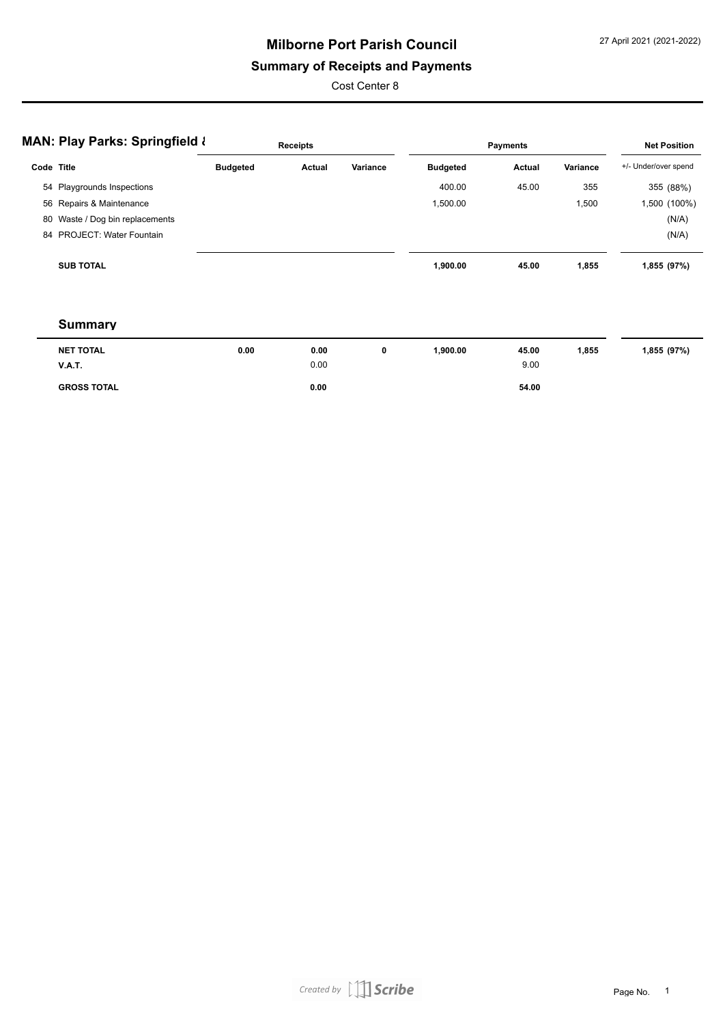### **Summary of Receipts and Payments**

Cost Center 8

|                  | <b>Receipts</b>                                                                                                                       |                                           |          |                 | <b>Net Position</b> |                 |                      |
|------------------|---------------------------------------------------------------------------------------------------------------------------------------|-------------------------------------------|----------|-----------------|---------------------|-----------------|----------------------|
|                  | <b>Budgeted</b>                                                                                                                       | Actual                                    | Variance | <b>Budgeted</b> | Actual              | Variance        | +/- Under/over spend |
|                  |                                                                                                                                       |                                           |          | 400.00          | 45.00               | 355             | 355 (88%)            |
|                  |                                                                                                                                       |                                           |          | 1,500.00        |                     | 1,500           | 1,500 (100%)         |
|                  |                                                                                                                                       |                                           |          |                 |                     |                 | (N/A)                |
|                  |                                                                                                                                       |                                           |          |                 |                     |                 | (N/A)                |
| <b>SUB TOTAL</b> |                                                                                                                                       |                                           |          | 1,900.00        | 45.00               | 1,855           | 1,855 (97%)          |
|                  | Code Title<br>54 Playgrounds Inspections<br>56 Repairs & Maintenance<br>80 Waste / Dog bin replacements<br>84 PROJECT: Water Fountain | <b>MAN: Play Parks: Springfield &amp;</b> |          |                 |                     | <b>Payments</b> |                      |

| <b>NET TOTAL</b>   | 0.00 | 0.00 | 0 | 900.00, | 45.00 | 1,855 | 1,855 (97%) |
|--------------------|------|------|---|---------|-------|-------|-------------|
| <b>V.A.T.</b>      |      | 0.00 |   |         | 9.00  |       |             |
| <b>GROSS TOTAL</b> |      | 0.00 |   |         | 54.00 |       |             |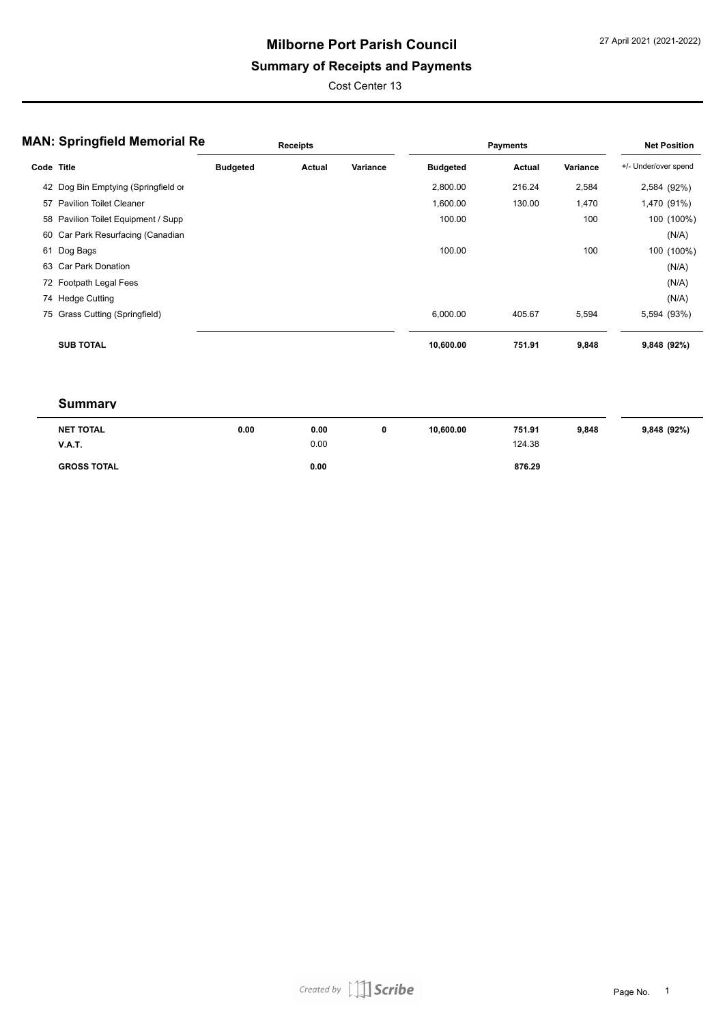### **Summary of Receipts and Payments**

Cost Center 13

|            | <b>MAN: Springfield Memorial Re</b> |                 | <b>Receipts</b> |          |                 | <b>Payments</b> |          | <b>Net Position</b>  |
|------------|-------------------------------------|-----------------|-----------------|----------|-----------------|-----------------|----------|----------------------|
| Code Title |                                     | <b>Budgeted</b> | Actual          | Variance | <b>Budgeted</b> | Actual          | Variance | +/- Under/over spend |
|            | 42 Dog Bin Emptying (Springfield or |                 |                 |          | 2,800.00        | 216.24          | 2,584    | 2,584 (92%)          |
| 57         | <b>Pavilion Toilet Cleaner</b>      |                 |                 |          | 1,600.00        | 130.00          | 1,470    | 1,470 (91%)          |
|            | 58 Pavilion Toilet Equipment / Supp |                 |                 |          | 100.00          |                 | 100      | 100 (100%)           |
|            | 60 Car Park Resurfacing (Canadian   |                 |                 |          |                 |                 |          | (N/A)                |
|            | 61 Dog Bags                         |                 |                 |          | 100.00          |                 | 100      | 100 (100%)           |
| 63         | Car Park Donation                   |                 |                 |          |                 |                 |          | (N/A)                |
|            | 72 Footpath Legal Fees              |                 |                 |          |                 |                 |          | (N/A)                |
|            | 74 Hedge Cutting                    |                 |                 |          |                 |                 |          | (N/A)                |
|            | 75 Grass Cutting (Springfield)      |                 |                 |          | 6,000.00        | 405.67          | 5,594    | 5,594 (93%)          |
|            | <b>SUB TOTAL</b>                    |                 |                 |          | 10,600.00       | 751.91          | 9,848    | 9,848 (92%)          |

| NET TOTAL          | 0.00 | 0.00 | 10.600.00 | 751.91 | 9.848 | 9,848 (92%) |
|--------------------|------|------|-----------|--------|-------|-------------|
| <b>V.A.T.</b>      |      | 0.00 |           | 124.38 |       |             |
| <b>GROSS TOTAL</b> |      | 0.00 |           | 876.29 |       |             |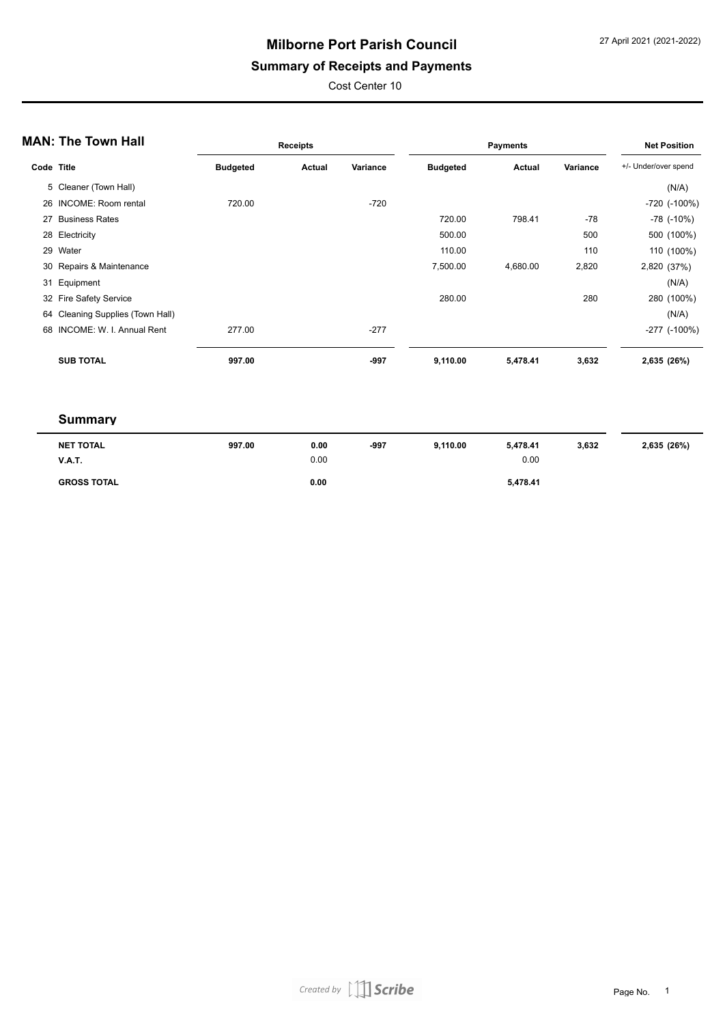### **Summary of Receipts and Payments**

Cost Center 10

|            | <b>MAN: The Town Hall</b>        |                 | <b>Receipts</b> |          |                 | <b>Payments</b> |          | <b>Net Position</b>  |
|------------|----------------------------------|-----------------|-----------------|----------|-----------------|-----------------|----------|----------------------|
| Code Title |                                  | <b>Budgeted</b> | Actual          | Variance | <b>Budgeted</b> | Actual          | Variance | +/- Under/over spend |
|            | 5 Cleaner (Town Hall)            |                 |                 |          |                 |                 |          | (N/A)                |
|            | 26 INCOME: Room rental           | 720.00          |                 | $-720$   |                 |                 |          | -720 (-100%)         |
| 27         | <b>Business Rates</b>            |                 |                 |          | 720.00          | 798.41          | $-78$    | $-78$ ( $-10\%$ )    |
|            | 28 Electricity                   |                 |                 |          | 500.00          |                 | 500      | 500 (100%)           |
|            | 29 Water                         |                 |                 |          | 110.00          |                 | 110      | 110 (100%)           |
|            | 30 Repairs & Maintenance         |                 |                 |          | 7,500.00        | 4,680.00        | 2,820    | 2,820 (37%)          |
|            | 31 Equipment                     |                 |                 |          |                 |                 |          | (N/A)                |
|            | 32 Fire Safety Service           |                 |                 |          | 280.00          |                 | 280      | 280 (100%)           |
|            | 64 Cleaning Supplies (Town Hall) |                 |                 |          |                 |                 |          | (N/A)                |
|            | 68 INCOME: W. I. Annual Rent     | 277.00          |                 | $-277$   |                 |                 |          | $-277$ $(-100\%)$    |
|            | <b>SUB TOTAL</b>                 | 997.00          |                 | -997     | 9,110.00        | 5,478.41        | 3,632    | 2,635 (26%)          |

| <b>NET TOTAL</b>   | 997.00 | 0.00 | $-997$ | 9,110.00 | 5.478.41 | 3,632 | 2,635 (26%) |
|--------------------|--------|------|--------|----------|----------|-------|-------------|
| <b>V.A.T.</b>      |        | 0.00 |        |          | 0.00     |       |             |
| <b>GROSS TOTAL</b> |        | 0.00 |        |          | 5,478.41 |       |             |